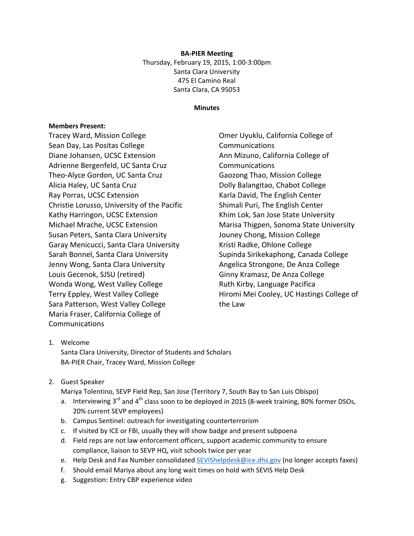**BA-PIER Meeting** Thursday, February 19, 2015, 1:00-3:00pm Santa Clara University 475 El Camino Real Santa Clara, CA 95053

## **Minutes**

## **Members Present:**

Tracey Ward, Mission College Sean Day, Las Positas College Diane Johansen, UCSC Extension Adrienne Bergenfeld, UC Santa Cruz Theo-Alyce Gordon, UC Santa Cruz Alicia Haley, UC Santa Cruz Ray Porras, UCSC Extension Christie Lorusso, University of the Pacific Kathy Harringon, UCSC Extension Michael Mrache, UCSC Extension Susan Peters, Santa Clara University Garay Menicucci, Santa Clara University Sarah Bonnel, Santa Clara University Jenny Wong, Santa Clara University Louis Gecenok, SJSU (retired) Wonda Wong, West Valley College Terry Eppley, West Valley College Sara Patterson, West Valley College Maria Fraser, California College of Communications

Omer Uyuklu, California College of **Communications** Ann Mizuno, California College of Communications Gaozong Thao, Mission College Dolly Balangitao, Chabot College Karla David, The English Center Shimali Puri, The English Center Khim Lok, San Jose State University Marisa Thigpen, Sonoma State University Jouney Chong, Mission College Kristi Radke, Ohlone College Supinda Sirikekaphong, Canada College Angelica Strongone, De Anza College Ginny Kramasz, De Anza College Ruth Kirby, Language Pacifica Hiromi Mei Cooley, UC Hastings College of the Law

## 1. Welcome

Santa Clara University, Director of Students and Scholars BA-PIER Chair, Tracey Ward, Mission College

2. Guest Speaker

Mariya Tolentino, SEVP Field Rep, San Jose (Territory 7, South Bay to San Luis Obispo)

- a. Interviewing  $3<sup>rd</sup>$  and  $4<sup>th</sup>$  class soon to be deployed in 2015 (8-week training, 80% former DSOs, 20% current SEVP employees)
- b. Campus Sentinel: outreach for investigating counterterrorism
- c. If visited by ICE or FBI, usually they will show badge and present subpoena
- d. Field reps are not law enforcement officers, support academic community to ensure compliance, liaison to SEVP HQ, visit schools twice per year
- e. Help Desk and Fax Number consolidated [SEVIShelpdesk@ice.dhs.gov](mailto:SEVIShelpdesk@ice.dhs.gov) (no longer accepts faxes)
- f. Should email Mariya about any long wait times on hold with SEVIS Help Desk
- g. Suggestion: Entry CBP experience video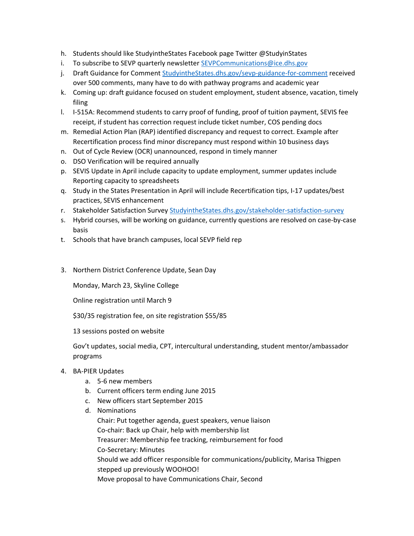- h. Students should like StudyintheStates Facebook page Twitter @StudyinStates
- i. To subscribe to SEVP quarterly newslette[r SEVPCommunications@ice.dhs.gov](mailto:SEVPCommunications@ice.dhs.gov)
- j. Draft Guidance for Comment StudyintheStates.dhs.gov/sevp-guidance-for-comment received over 500 comments, many have to do with pathway programs and academic year
- k. Coming up: draft guidance focused on student employment, student absence, vacation, timely filing
- l. I-515A: Recommend students to carry proof of funding, proof of tuition payment, SEVIS fee receipt, if student has correction request include ticket number, COS pending docs
- m. Remedial Action Plan (RAP) identified discrepancy and request to correct. Example after Recertification process find minor discrepancy must respond within 10 business days
- n. Out of Cycle Review (OCR) unannounced, respond in timely manner
- o. DSO Verification will be required annually
- p. SEVIS Update in April include capacity to update employment, summer updates include Reporting capacity to spreadsheets
- q. Study in the States Presentation in April will include Recertification tips, I-17 updates/best practices, SEVIS enhancement
- r. Stakeholder Satisfaction Survey StudyintheStates.dhs.gov/stakeholder-satisfaction-survey
- s. Hybrid courses, will be working on guidance, currently questions are resolved on case-by-case basis
- t. Schools that have branch campuses, local SEVP field rep
- 3. Northern District Conference Update, Sean Day

Monday, March 23, Skyline College

Online registration until March 9

\$30/35 registration fee, on site registration \$55/85

13 sessions posted on website

Gov't updates, social media, CPT, intercultural understanding, student mentor/ambassador programs

- 4. BA-PIER Updates
	- a. 5-6 new members
	- b. Current officers term ending June 2015
	- c. New officers start September 2015
	- d. Nominations Chair: Put together agenda, guest speakers, venue liaison Co-chair: Back up Chair, help with membership list Treasurer: Membership fee tracking, reimbursement for food Co-Secretary: Minutes Should we add officer responsible for communications/publicity, Marisa Thigpen stepped up previously WOOHOO! Move proposal to have Communications Chair, Second